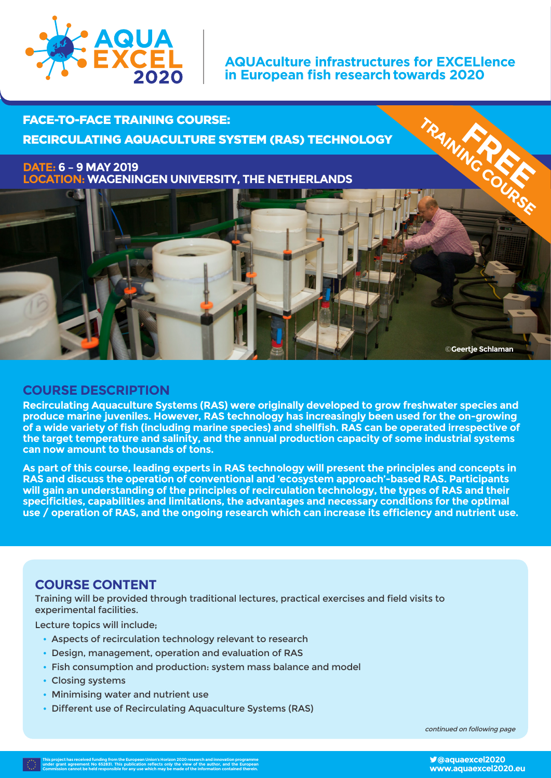

#### **AQUAculture infrastructures for EXCELlence in European fish researchtowards 2020**

FACE-TO-FACE TRAINING COURSE: RECIRCULATING AQUACULTURE SYSTEM (RAS) TECHNOLOGY

**DATE: 6 – 9 MAY 2019 LOCATION: WAGENINGEN UNIVERSITY, THE NETHERLANDS**



**Recirculating Aquaculture Systems (RAS) were originally developed to grow freshwater species and produce marine juveniles. However, RAS technology has increasingly been used for the on-growing of a wide variety of fish (including marine species) and shellfish. RAS can be operated irrespective of the target temperature and salinity, and the annual production capacity of some industrial systems can now amount to thousands of tons.** 

**As part of this course, leading experts in RAS technology will present the principles and concepts in RAS and discuss the operation of conventional and 'ecosystem approach'-based RAS. Participants will gain an understanding of the principles of recirculation technology, the types of RAS and their specificities, capabilities and limitations, the advantages and necessary conditions for the optimal use / operation of RAS, and the ongoing research which can increase its efficiency and nutrient use.**

#### **COURSE CONTENT**

Training will be provided through traditional lectures, practical exercises and field visits to experimental facilities.

Lecture topics will include;

- Aspects of recirculation technology relevant to research
- Design, management, operation and evaluation of RAS
- Fish consumption and production: system mass balance and model
- Closing systems
- Minimising water and nutrient use
- Different use of Recirculating Aquaculture Systems (RAS)

continued on following page

TRAINING COURSE

©**Geertje Schlaman**